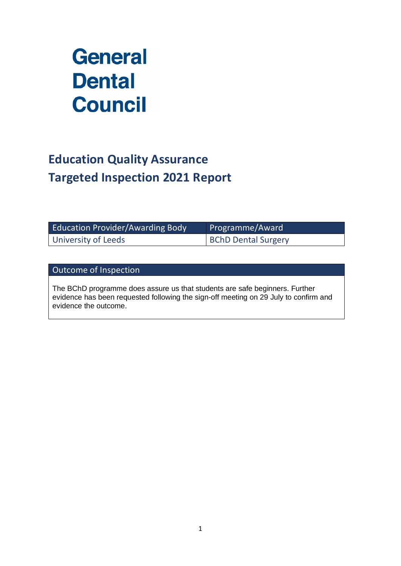# **General Dental Council**

# **Education Quality Assurance Targeted Inspection 2021 Report**

| <b>Education Provider/Awarding Body</b> | Programme/Award            |
|-----------------------------------------|----------------------------|
| University of Leeds                     | <b>BChD Dental Surgery</b> |

Outcome of Inspection

The BChD programme does assure us that students are safe beginners. Further evidence has been requested following the sign-off meeting on 29 July to confirm and evidence the outcome.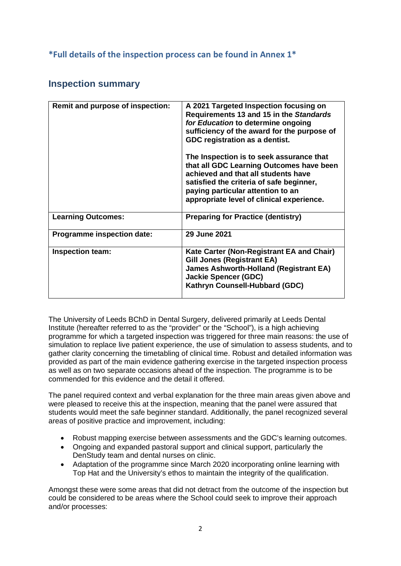#### **\*Full details of the inspection process can be found in Annex 1\***

### **Inspection summary**

| Remit and purpose of inspection: | A 2021 Targeted Inspection focusing on<br>Requirements 13 and 15 in the Standards<br>for Education to determine ongoing<br>sufficiency of the award for the purpose of<br>GDC registration as a dentist.<br>The Inspection is to seek assurance that<br>that all GDC Learning Outcomes have been<br>achieved and that all students have<br>satisfied the criteria of safe beginner,<br>paying particular attention to an<br>appropriate level of clinical experience. |
|----------------------------------|-----------------------------------------------------------------------------------------------------------------------------------------------------------------------------------------------------------------------------------------------------------------------------------------------------------------------------------------------------------------------------------------------------------------------------------------------------------------------|
| <b>Learning Outcomes:</b>        | <b>Preparing for Practice (dentistry)</b>                                                                                                                                                                                                                                                                                                                                                                                                                             |
| Programme inspection date:       | <b>29 June 2021</b>                                                                                                                                                                                                                                                                                                                                                                                                                                                   |
| <b>Inspection team:</b>          | Kate Carter (Non-Registrant EA and Chair)<br><b>Gill Jones (Registrant EA)</b><br><b>James Ashworth-Holland (Registrant EA)</b><br><b>Jackie Spencer (GDC)</b><br>Kathryn Counsell-Hubbard (GDC)                                                                                                                                                                                                                                                                      |

The University of Leeds BChD in Dental Surgery, delivered primarily at Leeds Dental Institute (hereafter referred to as the "provider" or the "School"), is a high achieving programme for which a targeted inspection was triggered for three main reasons: the use of simulation to replace live patient experience, the use of simulation to assess students, and to gather clarity concerning the timetabling of clinical time. Robust and detailed information was provided as part of the main evidence gathering exercise in the targeted inspection process as well as on two separate occasions ahead of the inspection. The programme is to be commended for this evidence and the detail it offered.

The panel required context and verbal explanation for the three main areas given above and were pleased to receive this at the inspection, meaning that the panel were assured that students would meet the safe beginner standard. Additionally, the panel recognized several areas of positive practice and improvement, including:

- Robust mapping exercise between assessments and the GDC's learning outcomes.
- Ongoing and expanded pastoral support and clinical support, particularly the DenStudy team and dental nurses on clinic.
- Adaptation of the programme since March 2020 incorporating online learning with Top Hat and the University's ethos to maintain the integrity of the qualification.

Amongst these were some areas that did not detract from the outcome of the inspection but could be considered to be areas where the School could seek to improve their approach and/or processes: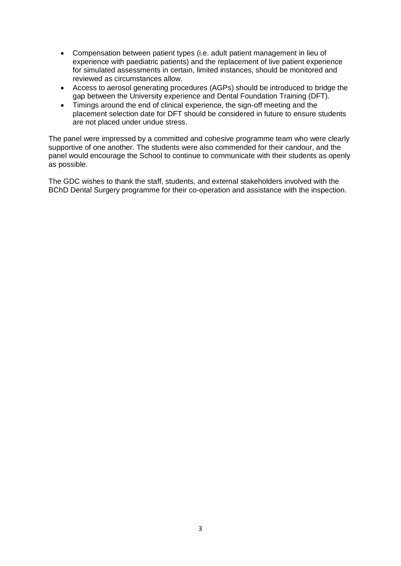- Compensation between patient types (i.e. adult patient management in lieu of experience with paediatric patients) and the replacement of live patient experience for simulated assessments in certain, limited instances, should be monitored and reviewed as circumstances allow.
- Access to aerosol generating procedures (AGPs) should be introduced to bridge the gap between the University experience and Dental Foundation Training (DFT).
- Timings around the end of clinical experience, the sign-off meeting and the placement selection date for DFT should be considered in future to ensure students are not placed under undue stress.

The panel were impressed by a committed and cohesive programme team who were clearly supportive of one another. The students were also commended for their candour, and the panel would encourage the School to continue to communicate with their students as openly as possible.

The GDC wishes to thank the staff, students, and external stakeholders involved with the BChD Dental Surgery programme for their co-operation and assistance with the inspection.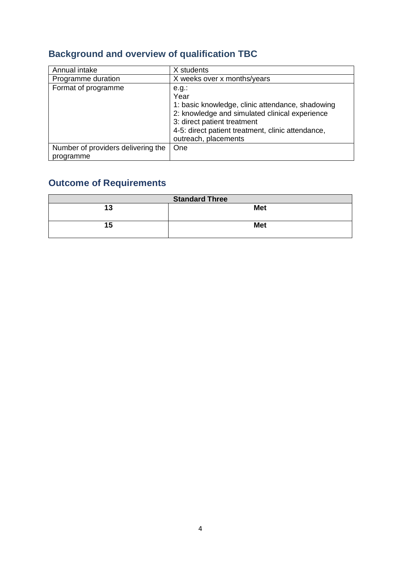# **Background and overview of qualification TBC**

| Annual intake                                   | X students                                                                                                                                                                                                                         |
|-------------------------------------------------|------------------------------------------------------------------------------------------------------------------------------------------------------------------------------------------------------------------------------------|
| Programme duration                              | X weeks over x months/years                                                                                                                                                                                                        |
| Format of programme                             | $e.g.$ :<br>Year<br>1: basic knowledge, clinic attendance, shadowing<br>2: knowledge and simulated clinical experience<br>3: direct patient treatment<br>4-5: direct patient treatment, clinic attendance,<br>outreach, placements |
| Number of providers delivering the<br>programme | One                                                                                                                                                                                                                                |

# **Outcome of Requirements**

| <b>Standard Three</b> |            |  |
|-----------------------|------------|--|
| 13                    | <b>Met</b> |  |
| 15                    | <b>Met</b> |  |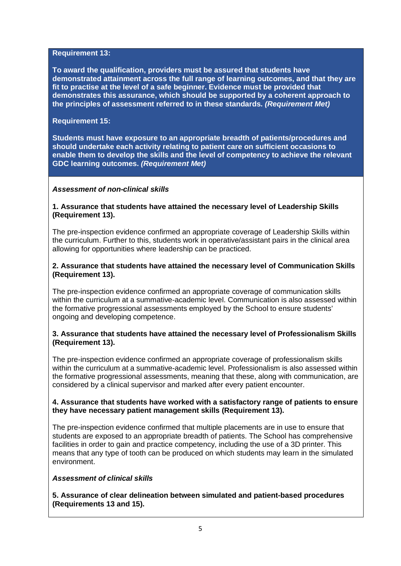#### **Requirement 13:**

**To award the qualification, providers must be assured that students have demonstrated attainment across the full range of learning outcomes, and that they are fit to practise at the level of a safe beginner. Evidence must be provided that demonstrates this assurance, which should be supported by a coherent approach to the principles of assessment referred to in these standards.** *(Requirement Met)* 

#### **Requirement 15:**

**Students must have exposure to an appropriate breadth of patients/procedures and should undertake each activity relating to patient care on sufficient occasions to enable them to develop the skills and the level of competency to achieve the relevant GDC learning outcomes.** *(Requirement Met)*

#### *Assessment of non-clinical skills*

#### **1. Assurance that students have attained the necessary level of Leadership Skills (Requirement 13).**

The pre-inspection evidence confirmed an appropriate coverage of Leadership Skills within the curriculum. Further to this, students work in operative/assistant pairs in the clinical area allowing for opportunities where leadership can be practiced.

#### **2. Assurance that students have attained the necessary level of Communication Skills (Requirement 13).**

The pre-inspection evidence confirmed an appropriate coverage of communication skills within the curriculum at a summative-academic level. Communication is also assessed within the formative progressional assessments employed by the School to ensure students' ongoing and developing competence.

#### **3. Assurance that students have attained the necessary level of Professionalism Skills (Requirement 13).**

The pre-inspection evidence confirmed an appropriate coverage of professionalism skills within the curriculum at a summative-academic level. Professionalism is also assessed within the formative progressional assessments, meaning that these, along with communication, are considered by a clinical supervisor and marked after every patient encounter.

#### **4. Assurance that students have worked with a satisfactory range of patients to ensure they have necessary patient management skills (Requirement 13).**

The pre-inspection evidence confirmed that multiple placements are in use to ensure that students are exposed to an appropriate breadth of patients. The School has comprehensive facilities in order to gain and practice competency, including the use of a 3D printer. This means that any type of tooth can be produced on which students may learn in the simulated environment.

#### *Assessment of clinical skills*

**5. Assurance of clear delineation between simulated and patient-based procedures (Requirements 13 and 15).**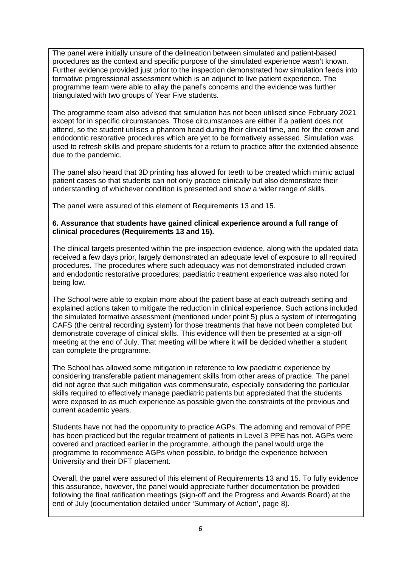The panel were initially unsure of the delineation between simulated and patient-based procedures as the context and specific purpose of the simulated experience wasn't known. Further evidence provided just prior to the inspection demonstrated how simulation feeds into formative progressional assessment which is an adjunct to live patient experience. The programme team were able to allay the panel's concerns and the evidence was further triangulated with two groups of Year Five students.

The programme team also advised that simulation has not been utilised since February 2021 except for in specific circumstances. Those circumstances are either if a patient does not attend, so the student utilises a phantom head during their clinical time, and for the crown and endodontic restorative procedures which are yet to be formatively assessed. Simulation was used to refresh skills and prepare students for a return to practice after the extended absence due to the pandemic.

The panel also heard that 3D printing has allowed for teeth to be created which mimic actual patient cases so that students can not only practice clinically but also demonstrate their understanding of whichever condition is presented and show a wider range of skills.

The panel were assured of this element of Requirements 13 and 15.

#### **6. Assurance that students have gained clinical experience around a full range of clinical procedures (Requirements 13 and 15).**

The clinical targets presented within the pre-inspection evidence, along with the updated data received a few days prior, largely demonstrated an adequate level of exposure to all required procedures. The procedures where such adequacy was not demonstrated included crown and endodontic restorative procedures; paediatric treatment experience was also noted for being low.

The School were able to explain more about the patient base at each outreach setting and explained actions taken to mitigate the reduction in clinical experience. Such actions included the simulated formative assessment (mentioned under point 5) plus a system of interrogating CAFS (the central recording system) for those treatments that have not been completed but demonstrate coverage of clinical skills. This evidence will then be presented at a sign-off meeting at the end of July. That meeting will be where it will be decided whether a student can complete the programme.

The School has allowed some mitigation in reference to low paediatric experience by considering transferable patient management skills from other areas of practice. The panel did not agree that such mitigation was commensurate, especially considering the particular skills required to effectively manage paediatric patients but appreciated that the students were exposed to as much experience as possible given the constraints of the previous and current academic years.

Students have not had the opportunity to practice AGPs. The adorning and removal of PPE has been practiced but the regular treatment of patients in Level 3 PPE has not. AGPs were covered and practiced earlier in the programme, although the panel would urge the programme to recommence AGPs when possible, to bridge the experience between University and their DFT placement.

Overall, the panel were assured of this element of Requirements 13 and 15. To fully evidence this assurance, however, the panel would appreciate further documentation be provided following the final ratification meetings (sign-off and the Progress and Awards Board) at the end of July (documentation detailed under 'Summary of Action', page 8).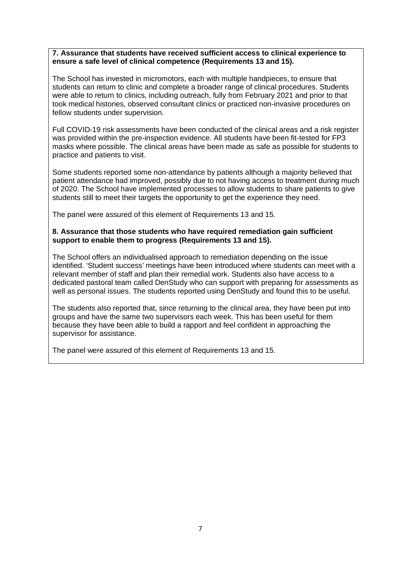#### **7. Assurance that students have received sufficient access to clinical experience to ensure a safe level of clinical competence (Requirements 13 and 15).**

The School has invested in micromotors, each with multiple handpieces, to ensure that students can return to clinic and complete a broader range of clinical procedures. Students were able to return to clinics, including outreach, fully from February 2021 and prior to that took medical histories, observed consultant clinics or practiced non-invasive procedures on fellow students under supervision.

Full COVID-19 risk assessments have been conducted of the clinical areas and a risk register was provided within the pre-inspection evidence. All students have been fit-tested for FP3 masks where possible. The clinical areas have been made as safe as possible for students to practice and patients to visit.

Some students reported some non-attendance by patients although a majority believed that patient attendance had improved, possibly due to not having access to treatment during much of 2020. The School have implemented processes to allow students to share patients to give students still to meet their targets the opportunity to get the experience they need.

The panel were assured of this element of Requirements 13 and 15.

#### **8. Assurance that those students who have required remediation gain sufficient support to enable them to progress (Requirements 13 and 15).**

The School offers an individualised approach to remediation depending on the issue identified. 'Student success' meetings have been introduced where students can meet with a relevant member of staff and plan their remedial work. Students also have access to a dedicated pastoral team called DenStudy who can support with preparing for assessments as well as personal issues. The students reported using DenStudy and found this to be useful.

The students also reported that, since returning to the clinical area, they have been put into groups and have the same two supervisors each week. This has been useful for them because they have been able to build a rapport and feel confident in approaching the supervisor for assistance.

The panel were assured of this element of Requirements 13 and 15.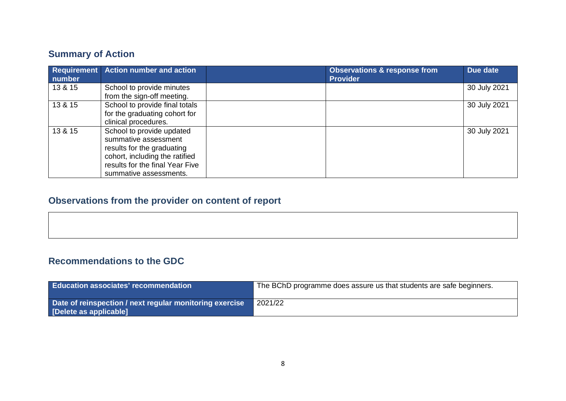# **Summary of Action**

| number  | Requirement Action number and action                         | <b>Observations &amp; response from</b><br><b>Provider</b> | Due date     |
|---------|--------------------------------------------------------------|------------------------------------------------------------|--------------|
| 13 & 15 | School to provide minutes                                    |                                                            | 30 July 2021 |
| 13 & 15 | from the sign-off meeting.<br>School to provide final totals |                                                            | 30 July 2021 |
|         | for the graduating cohort for                                |                                                            |              |
|         | clinical procedures.                                         |                                                            |              |
| 13 & 15 | School to provide updated                                    |                                                            | 30 July 2021 |
|         | summative assessment                                         |                                                            |              |
|         | results for the graduating                                   |                                                            |              |
|         | cohort, including the ratified                               |                                                            |              |
|         | results for the final Year Five                              |                                                            |              |
|         | summative assessments.                                       |                                                            |              |

# **Observations from the provider on content of report**

## **Recommendations to the GDC**

| <b>Education associates' recommendation</b>                                       | The BChD programme does assure us that students are safe beginners. |
|-----------------------------------------------------------------------------------|---------------------------------------------------------------------|
| Date of reinspection / next regular monitoring exercise<br>[Delete as applicable] | 2021/22                                                             |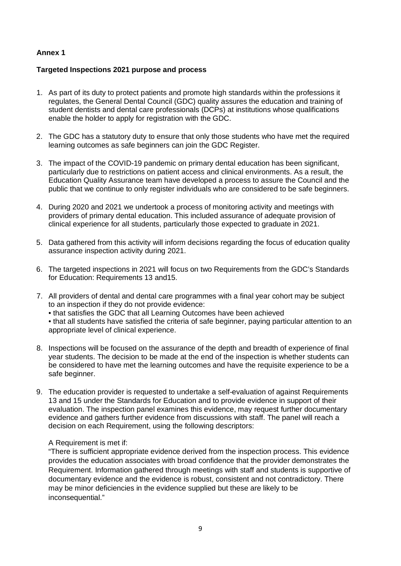#### **Annex 1**

#### **Targeted Inspections 2021 purpose and process**

- 1. As part of its duty to protect patients and promote high standards within the professions it regulates, the General Dental Council (GDC) quality assures the education and training of student dentists and dental care professionals (DCPs) at institutions whose qualifications enable the holder to apply for registration with the GDC.
- 2. The GDC has a statutory duty to ensure that only those students who have met the required learning outcomes as safe beginners can join the GDC Register.
- 3. The impact of the COVID-19 pandemic on primary dental education has been significant, particularly due to restrictions on patient access and clinical environments. As a result, the Education Quality Assurance team have developed a process to assure the Council and the public that we continue to only register individuals who are considered to be safe beginners.
- 4. During 2020 and 2021 we undertook a process of monitoring activity and meetings with providers of primary dental education. This included assurance of adequate provision of clinical experience for all students, particularly those expected to graduate in 2021.
- 5. Data gathered from this activity will inform decisions regarding the focus of education quality assurance inspection activity during 2021.
- 6. The targeted inspections in 2021 will focus on two Requirements from the GDC's Standards for Education: Requirements 13 and15.
- 7. All providers of dental and dental care programmes with a final year cohort may be subject to an inspection if they do not provide evidence: • that satisfies the GDC that all Learning Outcomes have been achieved • that all students have satisfied the criteria of safe beginner, paying particular attention to an appropriate level of clinical experience.
- 8. Inspections will be focused on the assurance of the depth and breadth of experience of final year students. The decision to be made at the end of the inspection is whether students can be considered to have met the learning outcomes and have the requisite experience to be a safe beginner.
- 9. The education provider is requested to undertake a self-evaluation of against Requirements 13 and 15 under the Standards for Education and to provide evidence in support of their evaluation. The inspection panel examines this evidence, may request further documentary evidence and gathers further evidence from discussions with staff. The panel will reach a decision on each Requirement, using the following descriptors:

#### A Requirement is met if:

"There is sufficient appropriate evidence derived from the inspection process. This evidence provides the education associates with broad confidence that the provider demonstrates the Requirement. Information gathered through meetings with staff and students is supportive of documentary evidence and the evidence is robust, consistent and not contradictory. There may be minor deficiencies in the evidence supplied but these are likely to be inconsequential."